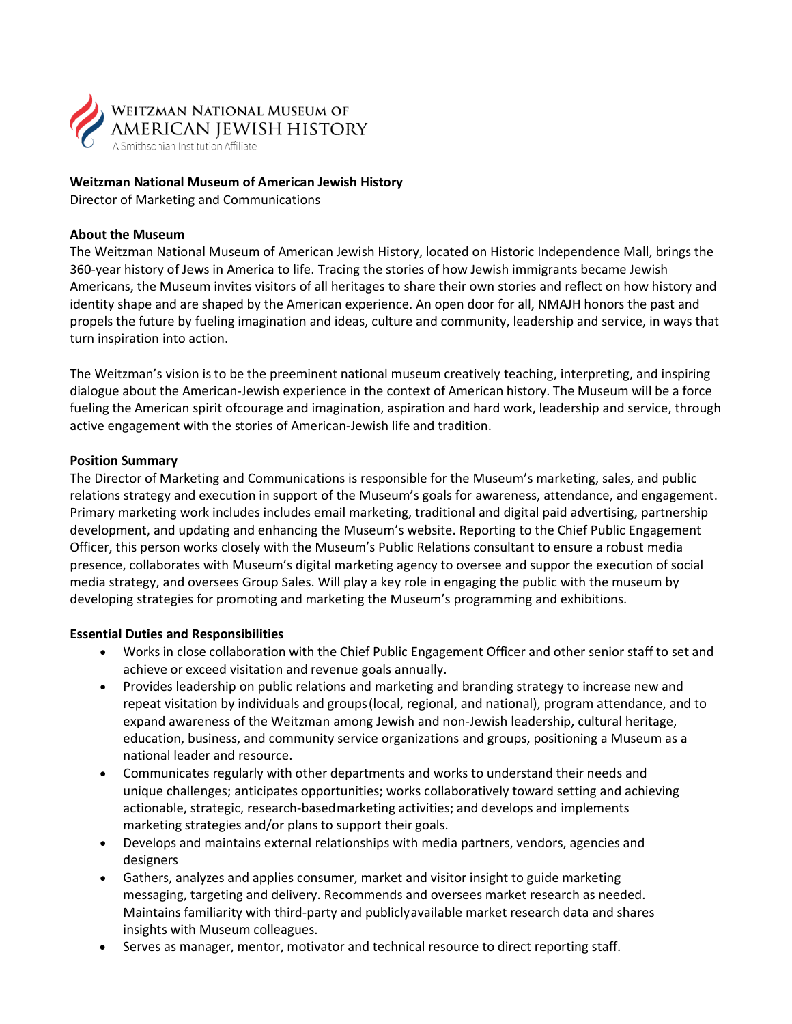

## **Weitzman National Museum of American Jewish History**

Director of Marketing and Communications

### **About the Museum**

The Weitzman National Museum of American Jewish History, located on Historic Independence Mall, brings the 360-year history of Jews in America to life. Tracing the stories of how Jewish immigrants became Jewish Americans, the Museum invites visitors of all heritages to share their own stories and reflect on how history and identity shape and are shaped by the American experience. An open door for all, NMAJH honors the past and propels the future by fueling imagination and ideas, culture and community, leadership and service, in ways that turn inspiration into action.

The Weitzman's vision is to be the preeminent national museum creatively teaching, interpreting, and inspiring dialogue about the American‐Jewish experience in the context of American history. The Museum will be a force fueling the American spirit ofcourage and imagination, aspiration and hard work, leadership and service, through active engagement with the stories of American‐Jewish life and tradition.

### **Position Summary**

The Director of Marketing and Communications is responsible for the Museum's marketing, sales, and public relations strategy and execution in support of the Museum's goals for awareness, attendance, and engagement. Primary marketing work includes includes email marketing, traditional and digital paid advertising, partnership development, and updating and enhancing the Museum's website. Reporting to the Chief Public Engagement Officer, this person works closely with the Museum's Public Relations consultant to ensure a robust media presence, collaborates with Museum's digital marketing agency to oversee and suppor the execution of social media strategy, and oversees Group Sales. Will play a key role in engaging the public with the museum by developing strategies for promoting and marketing the Museum's programming and exhibitions.

## **Essential Duties and Responsibilities**

- Works in close collaboration with the Chief Public Engagement Officer and other senior staff to set and achieve or exceed visitation and revenue goals annually.
- Provides leadership on public relations and marketing and branding strategy to increase new and repeat visitation by individuals and groups (local, regional, and national), program attendance, and to expand awareness of the Weitzman among Jewish and non‐Jewish leadership, cultural heritage, education, business, and community service organizations and groups, positioning a Museum as a national leader and resource.
- Communicates regularly with other departments and works to understand their needs and unique challenges; anticipates opportunities; works collaboratively toward setting and achieving actionable, strategic, research‐basedmarketing activities; and develops and implements marketing strategies and/or plans to support their goals.
- Develops and maintains external relationships with media partners, vendors, agencies and designers
- Gathers, analyzes and applies consumer, market and visitor insight to guide marketing messaging, targeting and delivery. Recommends and oversees market research as needed. Maintains familiarity with third‐party and publiclyavailable market research data and shares insights with Museum colleagues.
- Serves as manager, mentor, motivator and technical resource to direct reporting staff.